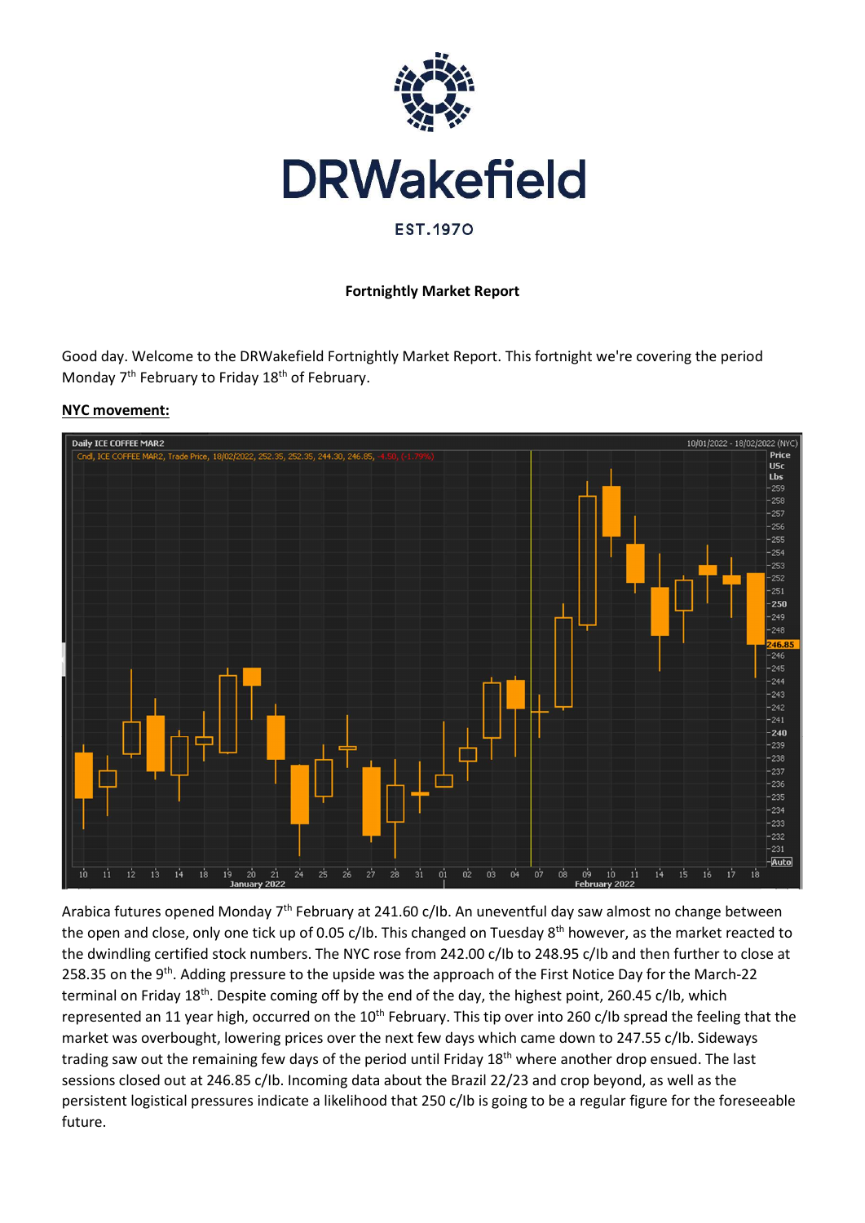

#### Fortnightly Market Report

Good day. Welcome to the DRWakefield Fortnightly Market Report. This fortnight we're covering the period Monday 7<sup>th</sup> February to Friday 18<sup>th</sup> of February.





Arabica futures opened Monday 7<sup>th</sup> February at 241.60 c/Ib. An uneventful day saw almost no change between the open and close, only one tick up of 0.05 c/Ib. This changed on Tuesday 8<sup>th</sup> however, as the market reacted to the dwindling certified stock numbers. The NYC rose from 242.00 c/Ib to 248.95 c/Ib and then further to close at 258.35 on the 9<sup>th</sup>. Adding pressure to the upside was the approach of the First Notice Day for the March-22 terminal on Friday 18<sup>th</sup>. Despite coming off by the end of the day, the highest point, 260.45 c/lb, which represented an 11 year high, occurred on the 10<sup>th</sup> February. This tip over into 260 c/lb spread the feeling that the market was overbought, lowering prices over the next few days which came down to 247.55 c/Ib. Sideways trading saw out the remaining few days of the period until Friday 18<sup>th</sup> where another drop ensued. The last sessions closed out at 246.85 c/Ib. Incoming data about the Brazil 22/23 and crop beyond, as well as the persistent logistical pressures indicate a likelihood that 250 c/Ib is going to be a regular figure for the foreseeable future.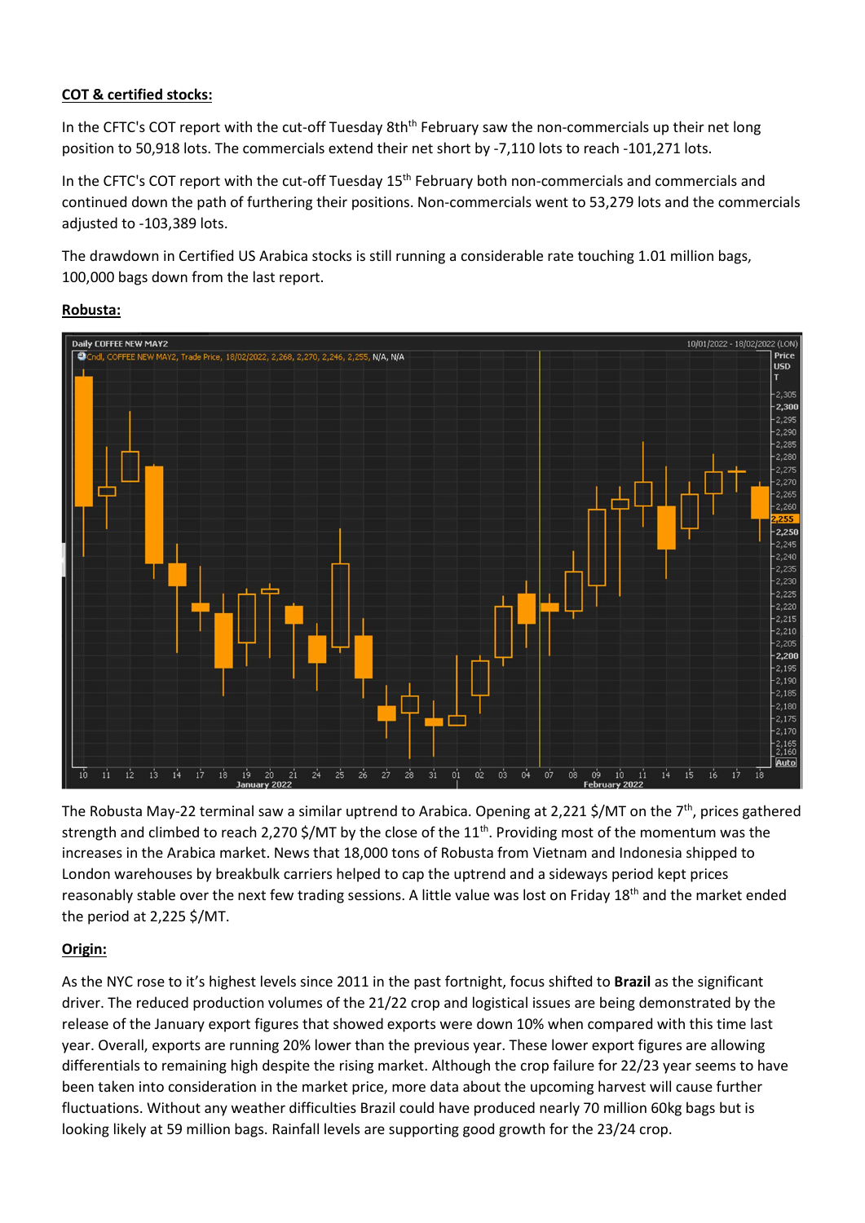### COT & certified stocks:

In the CFTC's COT report with the cut-off Tuesday 8th<sup>th</sup> February saw the non-commercials up their net long position to 50,918 lots. The commercials extend their net short by -7,110 lots to reach -101,271 lots.

In the CFTC's COT report with the cut-off Tuesday 15<sup>th</sup> February both non-commercials and commercials and continued down the path of furthering their positions. Non-commercials went to 53,279 lots and the commercials adjusted to -103,389 lots.

The drawdown in Certified US Arabica stocks is still running a considerable rate touching 1.01 million bags, 100,000 bags down from the last report.





The Robusta May-22 terminal saw a similar uptrend to Arabica. Opening at 2,221 \$/MT on the 7<sup>th</sup>, prices gathered strength and climbed to reach 2,270 \$/MT by the close of the  $11<sup>th</sup>$ . Providing most of the momentum was the increases in the Arabica market. News that 18,000 tons of Robusta from Vietnam and Indonesia shipped to London warehouses by breakbulk carriers helped to cap the uptrend and a sideways period kept prices reasonably stable over the next few trading sessions. A little value was lost on Friday 18<sup>th</sup> and the market ended the period at 2,225 \$/MT.

## Origin:

As the NYC rose to it's highest levels since 2011 in the past fortnight, focus shifted to Brazil as the significant driver. The reduced production volumes of the 21/22 crop and logistical issues are being demonstrated by the release of the January export figures that showed exports were down 10% when compared with this time last year. Overall, exports are running 20% lower than the previous year. These lower export figures are allowing differentials to remaining high despite the rising market. Although the crop failure for 22/23 year seems to have been taken into consideration in the market price, more data about the upcoming harvest will cause further fluctuations. Without any weather difficulties Brazil could have produced nearly 70 million 60kg bags but is looking likely at 59 million bags. Rainfall levels are supporting good growth for the 23/24 crop.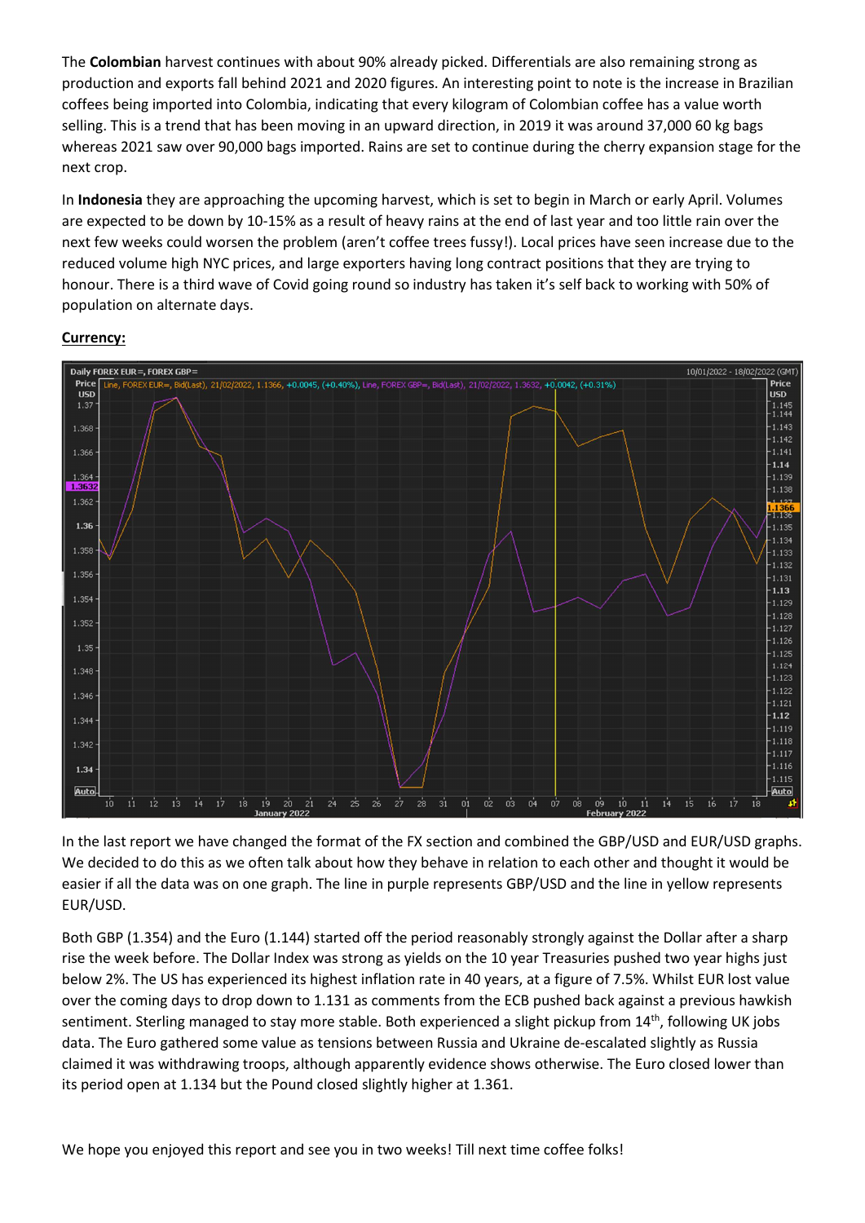The Colombian harvest continues with about 90% already picked. Differentials are also remaining strong as production and exports fall behind 2021 and 2020 figures. An interesting point to note is the increase in Brazilian coffees being imported into Colombia, indicating that every kilogram of Colombian coffee has a value worth selling. This is a trend that has been moving in an upward direction, in 2019 it was around 37,000 60 kg bags whereas 2021 saw over 90,000 bags imported. Rains are set to continue during the cherry expansion stage for the next crop.

In Indonesia they are approaching the upcoming harvest, which is set to begin in March or early April. Volumes are expected to be down by 10-15% as a result of heavy rains at the end of last year and too little rain over the next few weeks could worsen the problem (aren't coffee trees fussy!). Local prices have seen increase due to the reduced volume high NYC prices, and large exporters having long contract positions that they are trying to honour. There is a third wave of Covid going round so industry has taken it's self back to working with 50% of population on alternate days.

### Currency:



In the last report we have changed the format of the FX section and combined the GBP/USD and EUR/USD graphs. We decided to do this as we often talk about how they behave in relation to each other and thought it would be easier if all the data was on one graph. The line in purple represents GBP/USD and the line in yellow represents EUR/USD.

Both GBP (1.354) and the Euro (1.144) started off the period reasonably strongly against the Dollar after a sharp rise the week before. The Dollar Index was strong as yields on the 10 year Treasuries pushed two year highs just below 2%. The US has experienced its highest inflation rate in 40 years, at a figure of 7.5%. Whilst EUR lost value over the coming days to drop down to 1.131 as comments from the ECB pushed back against a previous hawkish sentiment. Sterling managed to stay more stable. Both experienced a slight pickup from 14<sup>th</sup>, following UK jobs data. The Euro gathered some value as tensions between Russia and Ukraine de-escalated slightly as Russia claimed it was withdrawing troops, although apparently evidence shows otherwise. The Euro closed lower than its period open at 1.134 but the Pound closed slightly higher at 1.361.